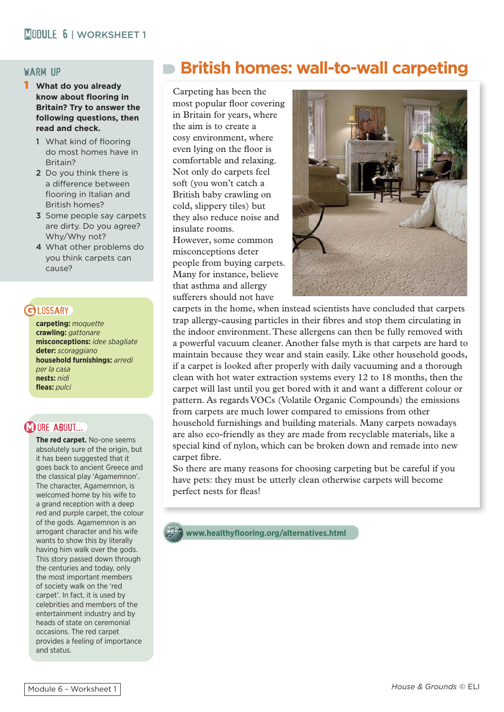#### warm up

- 1 **What do you already**  know about flooring in **Britain? Try to answer the following questions, then read and check.** 
	- 1 What kind of flooring do most homes have in Britain?
	- 2 Do you think there is a difference between flooring in Italian and British homes?
	- 3 Some people say carpets are dirty. Do you agree? Why/Why not?
	- 4 What other problems do you think carpets can cause?

## **CH DSSARY**

**carpeting:** *moquette* **crawling:** *gattonare* **misconceptions:** *idee sbagliate* **deter:** *scoraggiano* **household furnishings:** *arredi per la casa* **nests:** *nidi* **fl eas:** *pulci*

#### **MORE ABOUT...**

**The red carpet.** No-one seems absolutely sure of the origin, but it has been suggested that it goes back to ancient Greece and the classical play 'Agamemnon'. The character, Agamemnon, is welcomed home by his wife to a grand reception with a deep red and purple carpet, the colour of the gods. Agamemnon is an arrogant character and his wife wants to show this by literally having him walk over the gods. This story passed down through the centuries and today, only the most important members of society walk on the 'red carpet'. In fact, it is used by celebrities and members of the entertainment industry and by heads of state on ceremonial occasions. The red carpet provides a feeling of importance and status.

# **British homes: wall-to-wall carpeting**

Carpeting has been the most popular floor covering in Britain for years, where the aim is to create a cosy environment, where even lying on the floor is comfortable and relaxing. Not only do carpets feel soft (you won't catch a British baby crawling on cold, slippery tiles) but they also reduce noise and insulate rooms.

However, some common misconceptions deter people from buying carpets. Many for instance, believe that asthma and allergy sufferers should not have



carpets in the home, when instead scientists have concluded that carpets trap allergy-causing particles in their fibres and stop them circulating in the indoor environment. These allergens can then be fully removed with a powerful vacuum cleaner. Another false myth is that carpets are hard to maintain because they wear and stain easily. Like other household goods, if a carpet is looked after properly with daily vacuuming and a thorough clean with hot water extraction systems every 12 to 18 months, then the carpet will last until you get bored with it and want a different colour or pattern. As regards VOCs (Volatile Organic Compounds) the emissions from carpets are much lower compared to emissions from other household furnishings and building materials. Many carpets nowadays are also eco-friendly as they are made from recyclable materials, like a special kind of nylon, which can be broken down and remade into new carpet fibre.

So there are many reasons for choosing carpeting but be careful if you have pets: they must be utterly clean otherwise carpets will become perfect nests for fleas!

**www.healthyfl ooring.org/alternatives.html**